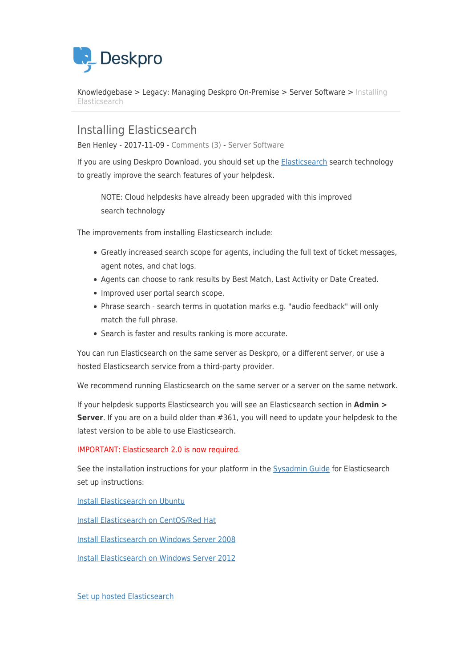

[Knowledgebase](https://support.deskpro.com/en/kb) > [Legacy: Managing Deskpro On-Premise](https://support.deskpro.com/en/kb/legacy-managing-deskpro-on-premise) > [Server Software](https://support.deskpro.com/en/kb/server-software) > [Installing](https://support.deskpro.com/en/kb/articles/installing-elasticsearch) [Elasticsearch](https://support.deskpro.com/en/kb/articles/installing-elasticsearch)

Installing Elasticsearch

Ben Henley - 2017-11-09 - [Comments \(3\)](#page--1-0) - [Server Software](https://support.deskpro.com/en/kb/server-software)

If you are using Deskpro Download, you should set up the [Elasticsearch](https://www.elastic.co/products/elasticsearch) search technology to greatly improve the search features of your helpdesk.

NOTE: Cloud helpdesks have already been upgraded with this improved search technology

The improvements from installing Elasticsearch include:

- Greatly increased search scope for agents, including the full text of ticket messages, agent notes, and chat logs.
- Agents can choose to rank results by Best Match, Last Activity or Date Created.
- Improved user portal search scope.
- Phrase search search terms in quotation marks e.g. "audio feedback" will only match the full phrase.
- Search is faster and results ranking is more accurate.

You can run Elasticsearch on the same server as Deskpro, or a different server, or use a hosted Elasticsearch service from a third-party provider.

We recommend running Elasticsearch on the same server or a server on the same network.

If your helpdesk supports Elasticsearch you will see an Elasticsearch section in **Admin > Server**. If you are on a build older than #361, you will need to update your helpdesk to the latest version to be able to use Elasticsearch.

IMPORTANT: Elasticsearch 2.0 is now required.

See the installation instructions for your platform in the [Sysadmin Guide](https://support.deskpro.com/guides/topic/152) for Elasticsearch set up instructions:

[Install Elasticsearch on Ubuntu](https://support.deskpro.com/guides/topic/163)

[Install Elasticsearch on CentOS/Red Hat](https://support.deskpro.com/guides/topic/166)

[Install Elasticsearch on Windows Server 2008](https://support.deskpro.com/guides/topic/169)

[Install Elasticsearch on Windows Server 2012](https://support.deskpro.com/guides/topic/172)

[Set up hosted Elasticsearch](https://support.deskpro.com/kb/articles/265)